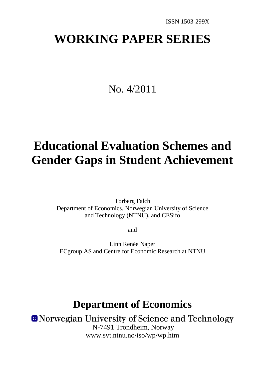# **WORKING PAPER SERIES**

# No. 4/2011

# **Educational Evaluation Schemes and Gender Gaps in Student Achievement**

Torberg Falch Department of Economics, Norwegian University of Science and Technology (NTNU), and CESifo

and

Linn Renée Naper ECgroup AS and Centre for Economic Research at NTNU

# **Department of Economics**

**O** Norwegian University of Science and Technology N-7491 Trondheim, Norway www.svt.ntnu.no/iso/wp/wp.htm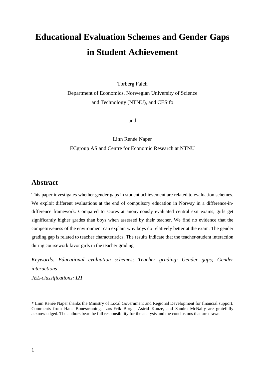# **Educational Evaluation Schemes and Gender Gaps in Student Achievement**

Torberg Falch

Department of Economics, Norwegian University of Science and Technology (NTNU), and CESifo

and

Linn Renée Naper ECgroup AS and Centre for Economic Research at NTNU

# **Abstract**

This paper investigates whether gender gaps in student achievement are related to evaluation schemes. We exploit different evaluations at the end of compulsory education in Norway in a difference-indifference framework. Compared to scores at anonymously evaluated central exit exams, girls get significantly higher grades than boys when assessed by their teacher. We find no evidence that the competitiveness of the environment can explain why boys do relatively better at the exam. The gender grading gap is related to teacher characteristics. The results indicate that the teacher-student interaction during coursework favor girls in the teacher grading.

*Keywords: Educational evaluation schemes; Teacher grading; Gender gaps; Gender interactions JEL-classifications: I21*

<span id="page-1-0"></span>\* Linn Renée Naper thanks the Ministry of Local Government and Regional Development for financial support. Comments from Hans Bonesrønning, Lars-Erik Borge, Astrid Kunze, and Sandra McNally are gratefully acknowledged. The authors bear the full responsibility for the analysis and the conclusions that are drawn.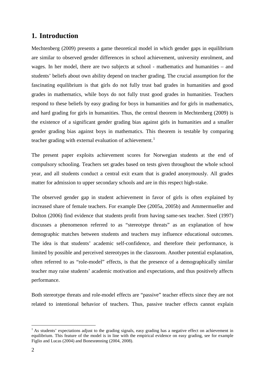# **1. Introduction**

Mechtenberg (2009) presents a game theoretical model in which gender gaps in equilibrium are similar to observed gender differences in school achievement, university enrolment, and wages. In her model, there are two subjects at school - mathematics and humanities – and students' beliefs about own ability depend on teacher grading. The crucial assumption for the fascinating equilibrium is that girls do not fully trust bad grades in humanities and good grades in mathematics, while boys do not fully trust good grades in humanities. Teachers respond to these beliefs by easy grading for boys in humanities and for girls in mathematics, and hard grading for girls in humanities. Thus, the central theorem in Mechtenberg (2009) is the existence of a significant gender grading bias against girls in humanities and a smaller gender grading bias against boys in mathematics. This theorem is testable by comparing teacher grading with external evaluation of achievement.<sup>[1](#page-1-0)</sup>

The present paper exploits achievement scores for Norwegian students at the end of compulsory schooling. Teachers set grades based on tests given throughout the whole school year, and all students conduct a central exit exam that is graded anonymously. All grades matter for admission to upper secondary schools and are in this respect high-stake.

The observed gender gap in student achievement in favor of girls is often explained by increased share of female teachers. For example Dee (2005a, 2005b) and Ammermueller and Dolton (2006) find evidence that students profit from having same-sex teacher. Steel (1997) discusses a phenomenon referred to as "stereotype threats" as an explanation of how demographic matches between students and teachers may influence educational outcomes. The idea is that students' academic self-confidence, and therefore their performance, is limited by possible and perceived stereotypes in the classroom. Another potential explanation, often referred to as "role-model" effects, is that the presence of a demographically similar teacher may raise students' academic motivation and expectations, and thus positively affects performance.

Both stereotype threats and role-model effects are "passive" teacher effects since they are not related to intentional behavior of teachers. Thus, passive teacher effects cannot explain

<span id="page-2-0"></span> $<sup>1</sup>$  As students' expectations adjust to the grading signals, easy grading has a negative effect on achievement in</sup> equilibrium. This feature of the model is in line with the empirical evidence on easy grading, see for example Figlio and Lucas (2004) and Bonesrønning (2004, 2008).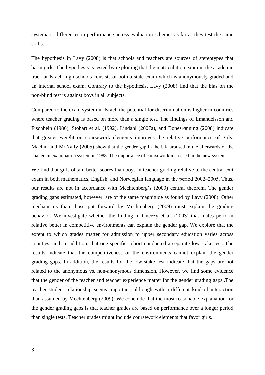systematic differences in performance across evaluation schemes as far as they test the same skills.

The hypothesis in Lavy (2008) is that schools and teachers are sources of stereotypes that harm girls. The hypothesis is tested by exploiting that the matriculation exam in the academic track at Israeli high schools consists of both a state exam which is anonymously graded and an internal school exam. Contrary to the hypothesis, Lavy (2008) find that the bias on the non-blind test is against boys in all subjects.

Compared to the exam system in Israel, the potential for discrimination is higher in countries where teacher grading is based on more than a single test. The findings of Emanuelsson and Fischbein (1986), Stobart et al. (1992), Lindahl (2007a), and Bonesrønning (2008) indicate that greater weight on coursework elements improves the relative performance of girls. Machin and McNally (2005) show that the gender gap in the UK aroused in the afterwards of the change in examination system in 1988. The importance of coursework increased in the new system.

We find that girls obtain better scores than boys in teacher grading relative to the central exit exam in both mathematics, English, and Norwegian language in the period 2002–2005. Thus, our results are not in accordance with Mechtenberg's (2009) central theorem. The gender grading gaps estimated, however, are of the same magnitude as found by Lavy (2008). Other mechanisms than those put forward by Mechtenberg (2009) must explain the grading behavior. We investigate whether the finding in Gneezy et al. (2003) that males perform relative better in competitive environments can explain the gender gap. We explore that the extent to which grades matter for admission to upper secondary education varies across counties, and, in addition, that one specific cohort conducted a separate low-stake test. The results indicate that the competitiveness of the environments cannot explain the gender grading gaps. In addition, the results for the low-stake test indicate that the gaps are not related to the anonymous vs. non-anonymous dimension. However, we find some evidence that the gender of the teacher and teacher experience matter for the gender grading gaps..The teacher-student relationship seems important, although with a different kind of interaction than assumed by Mechtenberg (2009). We conclude that the most reasonable explanation for the gender grading gaps is that teacher grades are based on performance over a longer period than single tests. Teacher grades might include coursework elements that favor girls.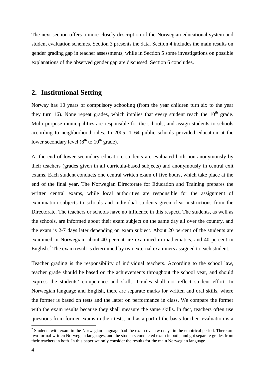The next section offers a more closely description of the Norwegian educational system and student evaluation schemes. Section 3 presents the data. Section 4 includes the main results on gender grading gap in teacher assessments, while in Section 5 some investigations on possible explanations of the observed gender gap are discussed. Section 6 concludes.

## **2. Institutional Setting**

Norway has 10 years of compulsory schooling (from the year children turn six to the year they turn 16). None repeat grades, which implies that every student reach the  $10<sup>th</sup>$  grade. Multi-purpose municipalities are responsible for the schools, and assign students to schools according to neighborhood rules. In 2005, 1164 public schools provided education at the lower secondary level  $(8<sup>th</sup>$  to  $10<sup>th</sup>$  grade).

At the end of lower secondary education, students are evaluated both non-anonymously by their teachers (grades given in all curricula-based subjects) and anonymously in central exit exams. Each student conducts one central written exam of five hours, which take place at the end of the final year. The Norwegian Directorate for Education and Training prepares the written central exams, while local authorities are responsible for the assignment of examination subjects to schools and individual students given clear instructions from the Directorate. The teachers or schools have no influence in this respect. The students, as well as the schools, are informed about their exam subject on the same day all over the country, and the exam is 2-7 days later depending on exam subject. About 20 percent of the students are examined in Norwegian, about 40 percent are examined in mathematics, and 40 percent in English.<sup>[2](#page-2-0)</sup> The exam result is determined by two external examiners assigned to each student.

Teacher grading is the responsibility of individual teachers. According to the school law, teacher grade should be based on the achievements throughout the school year, and should express the students' competence and skills. Grades shall not reflect student effort. In Norwegian language and English, there are separate marks for written and oral skills, where the former is based on tests and the latter on performance in class. We compare the former with the exam results because they shall measure the same skills. In fact, teachers often use questions from former exams in their tests, and as a part of the basis for their evaluation is a

<span id="page-4-0"></span><sup>&</sup>lt;sup>2</sup> Students with exam in the Norwegian language had the exam over two days in the empirical period. There are two formal written Norwegian languages, and the students conducted exam in both, and got separate grades from their teachers in both. In this paper we only consider the results for the main Norwegian language.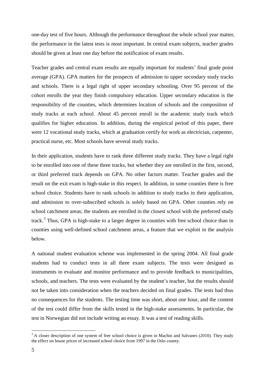one-day test of five hours. Although the performance throughout the whole school year matter, the performance in the latest tests is most important. In central exam subjects, teacher grades should be given at least one day before the notification of exam results.

Teacher grades and central exam results are equally important for students' final grade point average (GPA). GPA matters for the prospects of admission to upper secondary study tracks and schools. There is a legal right of upper secondary schooling. Over 95 percent of the cohort enrolls the year they finish compulsory education. Upper secondary education is the responsibility of the counties, which determines location of schools and the composition of study tracks at each school. About 45 percent enroll in the academic study track which qualifies for higher education. In addition, during the empirical period of this paper, there were 12 vocational study tracks, which at graduation certify for work as electrician, carpenter, practical nurse, etc. Most schools have several study tracks.

In their application, students have to rank three different study tracks. They have a legal right to be enrolled into one of these three tracks, but whether they are enrolled in the first, second, or third preferred track depends on GPA. No other factors matter. Teacher grades and the result on the exit exam is high-stake in this respect. In addition, in some counties there is free school choice. Students have to rank schools in addition to study tracks in their application, and admission to over-subscribed schools is solely based on GPA. Other counties rely on school catchment areas; the students are enrolled in the closest school with the preferred study track.<sup>[3](#page-4-0)</sup> Thus, GPA is high-stake to a larger degree in counties with free school choice than in counties using well-defined school catchment areas, a feature that we exploit in the analysis below.

<span id="page-5-0"></span>A national student evaluation scheme was implemented in the spring 2004. All final grade students had to conduct tests in all three exam subjects. The tests were designed as instruments to evaluate and monitor performance and to provide feedback to municipalities, schools, and teachers. The tests were evaluated by the student's teacher, but the results should not be taken into consideration when the teachers decided on final grades. The tests had thus no consequences for the students. The testing time was short, about one hour, and the content of the test could differ from the skills tested in the high-stake assessments. In particular, the test in Norwegian did not include writing an essay. It was a test of reading skills.

<sup>&</sup>lt;sup>3</sup> A closer description of one system of free school choice is given in Machin and Salvanes (2010). They study the effect on house prices of increased school choice from 1997 in the Oslo county.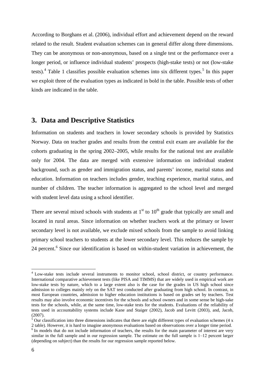According to Borghans et al. (2006), individual effort and achievement depend on the reward related to the result. Student evaluation schemes can in general differ along three dimensions. They can be anonymous or non-anonymous, based on a single test or the performance over a longer period, or influence individual students' prospects (high-stake tests) or not (low-stake tests).<sup>[4](#page-5-0)</sup> Table 1 classifies possible evaluation schemes into six different types.<sup>[5](#page-6-0)</sup> In this paper we exploit three of the evaluation types as indicated in bold in the table. Possible tests of other kinds are indicated in the table.

# **3. Data and Descriptive Statistics**

Information on students and teachers in lower secondary schools is provided by Statistics Norway. Data on teacher grades and results from the central exit exam are available for the cohorts graduating in the spring 2002–2005, while results for the national test are available only for 2004. The data are merged with extensive information on individual student background, such as gender and immigration status, and parents' income, marital status and education. Information on teachers includes gender, teaching experience, marital status, and number of children. The teacher information is aggregated to the school level and merged with student level data using a school identifier.

There are several mixed schools with students at  $1<sup>st</sup>$  to  $10<sup>th</sup>$  grade that typically are small and located in rural areas. Since information on whether teachers work at the primary or lower secondary level is not available, we exclude mixed schools from the sample to avoid linking primary school teachers to students at the lower secondary level. This reduces the sample by 24 percent.<sup>[6](#page-6-1)</sup> Since our identification is based on within-student variation in achievement, the

<sup>&</sup>lt;sup>4</sup> Low-stake tests include several instruments to monitor school, school district, or country performance. International comparative achievement tests (like PISA and TIMMS) that are widely used in empirical work are low-stake tests by nature, which to a large extent also is the case for the grades in US high school since admission to colleges mainly rely on the SAT test conducted after graduating from high school. In contrast, in most European countries, admission to higher education institutions is based on grades set by teachers. Test results may also involve economic incentives for the schools and school owners and in some sense be high-sake tests for the schools, while, at the same time, low-stake tests for the students. Evaluations of the reliability of tests used in accountability systems include Kane and Staiger (2002), Jacob and Levitt (2003), and, Jacob, (2007).

<span id="page-6-0"></span><sup>&</sup>lt;sup>5</sup> Our classification into three dimensions indicates that there are eight different types of evaluation schemes (4 x 2 table). However, it is hard to imagine anonymous evaluations based on observations over a longer time period.

<span id="page-6-2"></span><span id="page-6-1"></span><sup>&</sup>lt;sup>6</sup> In models that do not include information of teachers, the results for the main parameter of interest are very similar in the full sample and in our regression sample. The estimate on the full sample is  $1-12$  percent larger (depending on subject) than the results for our regression sample reported below.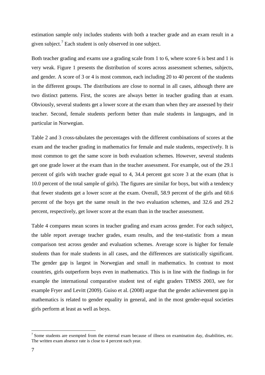estimation sample only includes students with both a teacher grade and an exam result in a given subject.<sup>[7](#page-6-2)</sup> Each student is only observed in one subject.

Both teacher grading and exams use a grading scale from 1 to 6, where score 6 is best and 1 is very weak. Figure 1 presents the distribution of scores across assessment schemes, subjects, and gender. A score of 3 or 4 is most common, each including 20 to 40 percent of the students in the different groups. The distributions are close to normal in all cases, although there are two distinct patterns. First, the scores are always better in teacher grading than at exam. Obviously, several students get a lower score at the exam than when they are assessed by their teacher. Second, female students perform better than male students in languages, and in particular in Norwegian.

Table 2 and 3 cross-tabulates the percentages with the different combinations of scores at the exam and the teacher grading in mathematics for female and male students, respectively. It is most common to get the same score in both evaluation schemes. However, several students get one grade lower at the exam than in the teacher assessment. For example, out of the 29.1 percent of girls with teacher grade equal to 4, 34.4 percent got score 3 at the exam (that is 10.0 percent of the total sample of girls). The figures are similar for boys, but with a tendency that fewer students get a lower score at the exam. Overall, 58.9 percent of the girls and 60.6 percent of the boys get the same result in the two evaluation schemes, and 32.6 and 29.2 percent, respectively, get lower score at the exam than in the teacher assessment.

Table 4 compares mean scores in teacher grading and exam across gender. For each subject, the table report average teacher grades, exam results, and the test-statistic from a mean comparison test across gender and evaluation schemes. Average score is higher for female students than for male students in all cases, and the differences are statistically significant. The gender gap is largest in Norwegian and small in mathematics. In contrast to most countries, girls outperform boys even in mathematics. This is in line with the findings in for example the international comparative student test of eight graders TIMSS 2003, see for example Fryer and Levitt (2009). Guiso et al. (2008) argue that the gender achievement gap in mathematics is related to gender equality in general, and in the most gender-equal societies girls perform at least as well as boys.

<span id="page-7-0"></span><sup>&</sup>lt;sup>7</sup> Some students are exempted from the external exam because of illness on examination day, disabilities, etc. The written exam absence rate is close to 4 percent each year.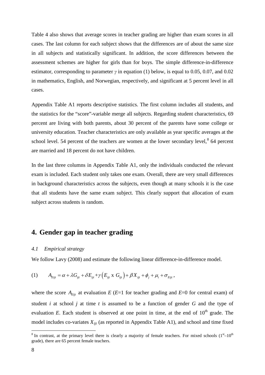Table 4 also shows that average scores in teacher grading are higher than exam scores in all cases. The last column for each subject shows that the differences are of about the same size in all subjects and statistically significant. In addition, the score differences between the assessment schemes are higher for girls than for boys. The simple difference-in-difference estimator, corresponding to parameter *γ* in equation (1) below, is equal to 0.05, 0.07, and 0.02 in mathematics, English, and Norwegian, respectively, and significant at 5 percent level in all cases.

Appendix Table A1 reports descriptive statistics. The first column includes all students, and the statistics for the "score"-variable merge all subjects. Regarding student characteristics, 69 percent are living with both parents, about 30 percent of the parents have some college or university education. Teacher characteristics are only available as year specific averages at the school level. 54 percent of the teachers are women at the lower secondary level, $8$  64 percent are married and 18 percent do not have children.

In the last three columns in Appendix Table A1, only the individuals conducted the relevant exam is included. Each student only takes one exam. Overall, there are very small differences in background characteristics across the subjects, even though at many schools it is the case that all students have the same exam subject. This clearly support that allocation of exam subject across students is random.

# **4. Gender gap in teacher grading**

#### *4.1 Empirical strategy*

We follow Lavy (2008) and estimate the following linear difference-in-difference model.

$$
(1) \qquad A_{Eijt} = \alpha + \lambda G_{ijt} + \delta E_{ijt} + \gamma (E_{ijt} \times G_{ijt}) + \beta X_{ijt} + \phi_j + \mu_t + \sigma_{Eijt},
$$

where the score  $A_{Eii}$  at evaluation  $E(E=1$  for teacher grading and  $E=0$  for central exam) of student *i* at school *j* at time *t* is assumed to be a function of gender *G* and the type of evaluation  $E$ . Each student is observed at one point in time, at the end of  $10<sup>th</sup>$  grade. The model includes co-variates  $X_{ijt}$  (as reported in Appendix Table A1), and school and time fixed

<span id="page-8-0"></span><sup>&</sup>lt;sup>8</sup> In contrast, at the primary level there is clearly a majority of female teachers. For mixed schools  $(1<sup>st</sup> - 10<sup>th</sup>)$ grade), there are 65 percent female teachers.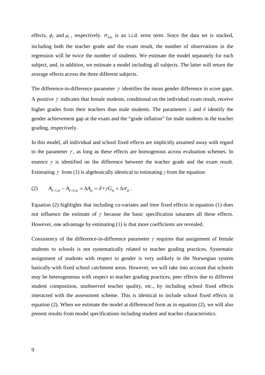effects,  $\phi_j$  and  $\mu_t$ , respectively.  $\sigma_{Eijt}$  is an i.i.d. error term. Since the data set is stacked, including both the teacher grade and the exam result, the number of observations in the regression will be twice the number of students. We estimate the model separately for each subject, and, in addition, we estimate a model including all subjects. The latter will return the average effects across the three different subjects.

The difference-in-difference parameter  $\gamma$  identifies the mean gender difference in score gaps. A positive  $\gamma$  indicates that female students, conditional on the individual exam result, receive higher grades from their teachers than male students. The parameters  $\lambda$  and  $\delta$  identify the gender achievement gap at the exam and the "grade inflation" for male students in the teacher grading, respectively.

In this model, all individual and school fixed effects are implicitly assumed away with regard to the parameter  $\gamma$ , as long as these effects are homogenous across evaluation schemes. In essence  $\gamma$  is identified on the difference between the teacher grade and the exam result. Estimating γ from (1) is algebraically identical to estimating *γ* from the equation

$$
(2) \tA_{E=1,ijt}-A_{E=0,ijt}=\Delta A_{ijt}=\delta+\gamma G_{ijt}+\Delta \sigma_{ijt}.
$$

Equation (2) highlights that including co-variates and time fixed effects in equation (1) does not influence the estimate of  $\gamma$  because the basic specification saturates all these effects. However, one advantage by estimating (1) is that more coefficients are revealed.

Consistency of the difference-in-difference parameter  $\gamma$  requires that assignment of female students to schools is not systematically related to teacher grading practices. Systematic assignment of students with respect to gender is very unlikely in the Norwegian system basically with fixed school catchment areas. However, we will take into account that schools may be heterogeneous with respect to teacher grading practices, peer effects due to different student composition, unobserved teacher quality, etc., by including school fixed effects interacted with the assessment scheme. This is identical to include school fixed effects in equation (2). When we estimate the model at differenced form as in equation (2), we will also present results from model specifications including student and teacher characteristics.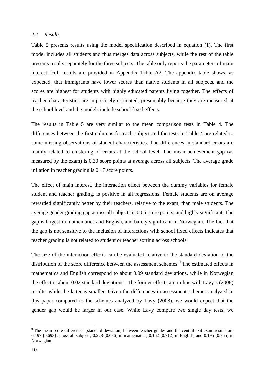#### *4.2 Results*

Table 5 presents results using the model specification described in equation (1). The first model includes all students and thus merges data across subjects, while the rest of the table presents results separately for the three subjects. The table only reports the parameters of main interest. Full results are provided in Appendix Table A2. The appendix table shows, as expected, that immigrants have lower scores than native students in all subjects, and the scores are highest for students with highly educated parents living together. The effects of teacher characteristics are imprecisely estimated, presumably because they are measured at the school level and the models include school fixed effects.

The results in Table 5 are very similar to the mean comparison tests in Table 4. The differences between the first columns for each subject and the tests in Table 4 are related to some missing observations of student characteristics. The differences in standard errors are mainly related to clustering of errors at the school level. The mean achievement gap (as measured by the exam) is 0.30 score points at average across all subjects. The average grade inflation in teacher grading is 0.17 score points.

The effect of main interest, the interaction effect between the dummy variables for female student and teacher grading, is positive in all regressions. Female students are on average rewarded significantly better by their teachers, relative to the exam, than male students. The average gender grading gap across all subjects is 0.05 score points, and highly significant. The gap is largest in mathematics and English, and barely significant in Norwegian. The fact that the gap is not sensitive to the inclusion of interactions with school fixed effects indicates that teacher grading is not related to student or teacher sorting across schools.

The size of the interaction effects can be evaluated relative to the standard deviation of the distribution of the score difference between the assessment schemes.<sup>[9](#page-8-0)</sup> The estimated effects in mathematics and English correspond to about 0.09 standard deviations, while in Norwegian the effect is about 0.02 standard deviations. The former effects are in line with Lavy's (2008) results, while the latter is smaller. Given the differences in assessment schemes analyzed in this paper compared to the schemes analyzed by Lavy (2008), we would expect that the gender gap would be larger in our case. While Lavy compare two single day tests, we

<span id="page-10-0"></span><sup>&</sup>lt;sup>9</sup> The mean score differences [standard deviation] between teacher grades and the central exit exam results are 0.197 [0.693] across all subjects, 0.228 [0.636] in mathematics, 0.162 [0.712] in English, and 0.195 [0.765] in Norwegian.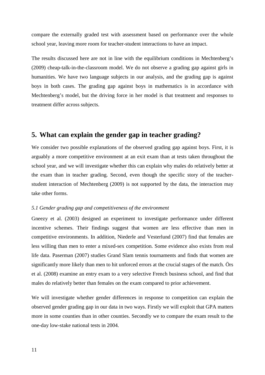compare the externally graded test with assessment based on performance over the whole school year, leaving more room for teacher-student interactions to have an impact.

The results discussed here are not in line with the equilibrium conditions in Mechtenberg's (2009) cheap-talk-in-the-classroom model. We do not observe a grading gap against girls in humanities. We have two language subjects in our analysis, and the grading gap is against boys in both cases. The grading gap against boys in mathematics is in accordance with Mechtenberg's model, but the driving force in her model is that treatment and responses to treatment differ across subjects.

# **5. What can explain the gender gap in teacher grading?**

We consider two possible explanations of the observed grading gap against boys. First, it is arguably a more competitive environment at an exit exam than at tests taken throughout the school year, and we will investigate whether this can explain why males do relatively better at the exam than in teacher grading. Second, even though the specific story of the teacherstudent interaction of Mechtenberg (2009) is not supported by the data, the interaction may take other forms.

#### *5.1 Gender grading gap and competitiveness of the environment*

Gneezy et al. (2003) designed an experiment to investigate performance under different incentive schemes. Their findings suggest that women are less effective than men in competitive environments. In addition, Niederle and Vesterlund (2007) find that females are less willing than men to enter a mixed-sex competition. Some evidence also exists from real life data. Paserman (2007) studies Grand Slam tennis tournaments and finds that women are significantly more likely than men to hit unforced errors at the crucial stages of the match. Örs et al. (2008) examine an entry exam to a very selective French business school, and find that males do relatively better than females on the exam compared to prior achievement.

We will investigate whether gender differences in response to competition can explain the observed gender grading gap in our data in two ways. Firstly we will exploit that GPA matters more in some counties than in other counties. Secondly we to compare the exam result to the one-day low-stake national tests in 2004.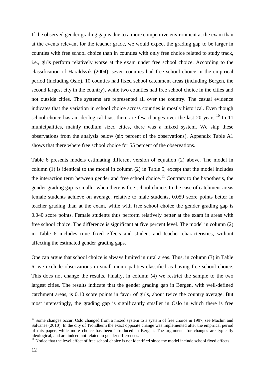If the observed gender grading gap is due to a more competitive environment at the exam than at the events relevant for the teacher grade, we would expect the grading gap to be larger in counties with free school choice than in counties with only free choice related to study track, i.e., girls perform relatively worse at the exam under free school choice. According to the classification of Haraldsvik (2004), seven counties had free school choice in the empirical period (including Oslo), 10 counties had fixed school catchment areas (including Bergen, the second largest city in the country), while two counties had free school choice in the cities and not outside cities. The systems are represented all over the country. The casual evidence indicates that the variation in school choice across counties is mostly historical. Even though school choice has an ideological bias, there are few changes over the last 20 years.<sup>[10](#page-10-0)</sup> In 11 municipalities, mainly medium sized cities, there was a mixed system. We skip these observations from the analysis below (six percent of the observations). Appendix Table A1 shows that there where free school choice for 55 percent of the observations.

Table 6 presents models estimating different version of equation (2) above. The model in column (1) is identical to the model in column (2) in Table 5, except that the model includes the interaction term between gender and free school choice.<sup>[11](#page-12-0)</sup> Contrary to the hypothesis, the gender grading gap is smaller when there is free school choice. In the case of catchment areas female students achieve on average, relative to male students, 0.059 score points better in teacher grading than at the exam, while with free school choice the gender grading gap is 0.040 score points. Female students thus perform relatively better at the exam in areas with free school choice. The difference is significant at five percent level. The model in column (2) in Table 6 includes time fixed effects and student and teacher characteristics, without affecting the estimated gender grading gaps.

One can argue that school choice is always limited in rural areas. Thus, in column (3) in Table 6, we exclude observations in small municipalities classified as having free school choice. This does not change the results. Finally, in column (4) we restrict the sample to the two largest cities. The results indicate that the gender grading gap in Bergen, with well-defined catchment areas, is 0.10 score points in favor of girls, about twice the country average. But most interestingly, the grading gap is significantly smaller in Oslo in which there is free

<span id="page-12-1"></span> $10$  Some changes occur. Oslo changed from a mixed system to a system of free choice in 1997, see Machin and Salvanes (2010). In the city of Trondheim the exact opposite change was implemented after the empirical period of this paper, while more choice has been introduced in Bergen. The arguments for changes are typically ideological, and are indeed not related to gender differences.

<span id="page-12-0"></span> $11$  Notice that the level effect of free school choice is not identified since the model include school fixed effects.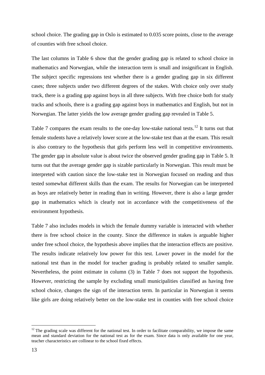school choice. The grading gap in Oslo is estimated to 0.035 score points, close to the average of counties with free school choice.

The last columns in Table 6 show that the gender grading gap is related to school choice in mathematics and Norwegian, while the interaction term is small and insignificant in English. The subject specific regressions test whether there is a gender grading gap in six different cases; three subjects under two different degrees of the stakes. With choice only over study track, there is a grading gap against boys in all three subjects. With free choice both for study tracks and schools, there is a grading gap against boys in mathematics and English, but not in Norwegian. The latter yields the low average gender grading gap revealed in Table 5.

Table 7 compares the exam results to the one-day low-stake national tests.<sup>[12](#page-12-1)</sup> It turns out that female students have a relatively lower score at the low-stake test than at the exam. This result is also contrary to the hypothesis that girls perform less well in competitive environments. The gender gap in absolute value is about twice the observed gender grading gap in Table 5. It turns out that the average gender gap is sizable particularly in Norwegian. This result must be interpreted with caution since the low-stake test in Norwegian focused on reading and thus tested somewhat different skills than the exam. The results for Norwegian can be interpreted as boys are relatively better in reading than in writing. However, there is also a large gender gap in mathematics which is clearly not in accordance with the competitiveness of the environment hypothesis.

Table 7 also includes models in which the female dummy variable is interacted with whether there is free school choice in the county. Since the difference in stakes is arguable higher under free school choice, the hypothesis above implies that the interaction effects are positive. The results indicate relatively low power for this test. Lower power in the model for the national test than in the model for teacher grading is probably related to smaller sample. Nevertheless, the point estimate in column (3) in Table 7 does not support the hypothesis. However, restricting the sample by excluding small municipalities classified as having free school choice, changes the sign of the interaction term. In particular in Norwegian it seems like girls are doing relatively better on the low-stake test in counties with free school choice

<span id="page-13-0"></span> $12$  The grading scale was different for the national test. In order to facilitate comparability, we impose the same mean and standard deviation for the national test as for the exam. Since data is only available for one year, teacher characteristics are collinear to the school fixed effects.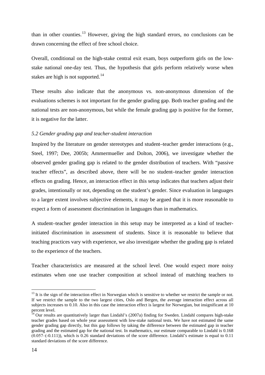than in other counties.<sup>[13](#page-13-0)</sup> However, giving the high standard errors, no conclusions can be drawn concerning the effect of free school choice.

Overall, conditional on the high-stake central exit exam, boys outperform girls on the lowstake national one-day test. Thus, the hypothesis that girls perform relatively worse when stakes are high is not supported.<sup>[14](#page-14-0)</sup>

These results also indicate that the anonymous vs. non-anonymous dimension of the evaluations schemes is not important for the gender grading gap. Both teacher grading and the national tests are non-anonymous, but while the female grading gap is positive for the former, it is negative for the latter.

#### *5.2 Gender grading gap and teacher-student interaction*

Inspired by the literature on gender stereotypes and student–teacher gender interactions (e.g., Steel, 1997; Dee, 2005b; Ammermueller and Dolton, 2006), we investigate whether the observed gender grading gap is related to the gender distribution of teachers. With "passive teacher effects", as described above, there will be no student–teacher gender interaction effects on grading. Hence, an interaction effect in this setup indicates that teachers adjust their grades, intentionally or not, depending on the student's gender. Since evaluation in languages to a larger extent involves subjective elements, it may be argued that it is more reasonable to expect a form of assessment discrimination in languages than in mathematics.

A student–teacher gender interaction in this setup may be interpreted as a kind of teacherinitiated discrimination in assessment of students. Since it is reasonable to believe that teaching practices vary with experience, we also investigate whether the grading gap is related to the experience of the teachers.

Teacher characteristics are measured at the school level. One would expect more noisy estimates when one use teacher composition at school instead of matching teachers to

 $13$  It is the sign of the interaction effect in Norwegian which is sensitive to whether we restrict the sample or not. If we restrict the sample to the two largest cities, Oslo and Bergen, the average interaction effect across all subjects increases to 0.10. Also in this case the interaction effect is largest for Norwegian, but insignificant at 10 percent level.

<span id="page-14-1"></span><span id="page-14-0"></span><sup>&</sup>lt;sup>14</sup> Our results are quantitatively larger than Lindahl's (2007a) finding for Sweden. Lindahl compares high-stake teacher grades based on whole year assessment with low-stake national tests. We have not estimated the same gender grading gap directly, but this gap follows by taking the difference between the estimated gap in teacher grading and the estimated gap for the national test. In mathematics, our estimate comparable to Lindahl is 0.168  $(0.057-(0.111))$ , which is 0.26 standard deviations of the score difference. Lindahl's estimate is equal to 0.11 standard deviations of the score difference.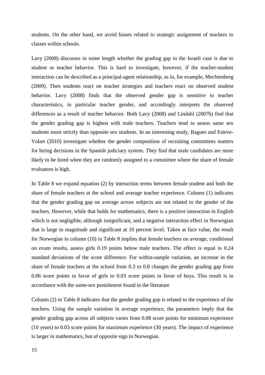students. On the other hand, we avoid biases related to strategic assignment of teachers to classes within schools.

Lavy (2008) discusses in some length whether the grading gap in the Israeli case is due to student or teacher behavior. This is hard to investigate, however, if the teacher-student interaction can be described as a principal-agent relationship, as in, for example, Mechtenberg (2009). Then students react on teacher strategies and teachers react on observed student behavior. Lavy (2008) finds that the observed gender gap is sensitive to teacher characteristics, in particular teacher gender, and accordingly interprets the observed differences as a result of teacher behavior. Both Lavy (2008) and Lindahl (2007b) find that the gender grading gap is highest with male teachers. Teachers tend to assess same sex students more strictly than opposite sex students. In an interesting study, Bagues and Esteve-Volart (2010) investigate whether the gender composition of recruiting committees matters for hiring decisions in the Spanish judiciary system. They find that male candidates are more likely to be hired when they are randomly assigned to a committee where the share of female evaluators is high.

In Table 8 we expand equation (2) by interaction terms between female student and both the share of female teachers at the school and average teacher experience. Column (1) indicates that the gender grading gap on average across subjects are not related to the gender of the teachers. However, while that holds for mathematics, there is a positive interaction in English which is not negligible, although insignificant, and a negative interaction effect in Norwegian that is large in magnitude and significant at 10 percent level. Taken at face value, the result for Norwegian in column (10) in Table 8 implies that female teachers on average, conditional on exam results, assess girls 0.19 points below male teachers. The effect is equal to 0.24 standard deviations of the score difference. For within-sample variation, an increase in the share of female teachers at the school from 0.3 to 0.8 changes the gender grading gap from 0.06 score points in favor of girls to 0.03 score points in favor of boys. This result is in accordance with the same-sex punishment found in the literature

Column (2) in Table 8 indicates that the gender grading gap is related to the experience of the teachers. Using the sample variation in average experience, the parameters imply that the gender grading gap across all subjects varies from 0.08 score points for minimum experience (10 years) to 0.03 score points for maximum experience (30 years). The impact of experience is larger in mathematics, but of opposite sign in Norwegian.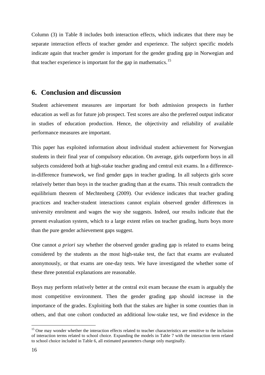Column (3) in Table 8 includes both interaction effects, which indicates that there may be separate interaction effects of teacher gender and experience. The subject specific models indicate again that teacher gender is important for the gender grading gap in Norwegian and that teacher experience is important for the gap in mathematics.<sup>[15](#page-14-1)</sup>

### **6. Conclusion and discussion**

Student achievement measures are important for both admission prospects in further education as well as for future job prospect. Test scores are also the preferred output indicator in studies of education production. Hence, the objectivity and reliability of available performance measures are important.

This paper has exploited information about individual student achievement for Norwegian students in their final year of compulsory education. On average, girls outperform boys in all subjects considered both at high-stake teacher grading and central exit exams. In a differencein-difference framework, we find gender gaps in teacher grading. In all subjects girls score relatively better than boys in the teacher grading than at the exams. This result contradicts the equilibrium theorem of Mechtenberg (2009). Our evidence indicates that teacher grading practices and teacher-student interactions cannot explain observed gender differences in university enrolment and wages the way she suggests. Indeed, our results indicate that the present evaluation system, which to a large extent relies on teacher grading, hurts boys more than the pure gender achievement gaps suggest.

One cannot *a priori* say whether the observed gender grading gap is related to exams being considered by the students as the most high-stake test, the fact that exams are evaluated anonymously, or that exams are one-day tests. We have investigated the whether some of these three potential explanations are reasonable.

Boys may perform relatively better at the central exit exam because the exam is arguably the most competitive environment. Then the gender grading gap should increase in the importance of the grades. Exploiting both that the stakes are higher in some counties than in others, and that one cohort conducted an additional low-stake test, we find evidence in the

<sup>&</sup>lt;sup>15</sup> One may wonder whether the interaction effects related to teacher characteristics are sensitive to the inclusion of interaction terms related to school choice. Expanding the models in Table 7 with the interaction term related to school choice included in Table 6, all estimated parameters change only marginally.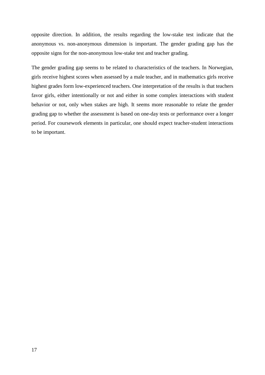opposite direction. In addition, the results regarding the low-stake test indicate that the anonymous vs. non-anonymous dimension is important. The gender grading gap has the opposite signs for the non-anonymous low-stake test and teacher grading.

The gender grading gap seems to be related to characteristics of the teachers. In Norwegian, girls receive highest scores when assessed by a male teacher, and in mathematics girls receive highest grades form low-experienced teachers. One interpretation of the results is that teachers favor girls, either intentionally or not and either in some complex interactions with student behavior or not, only when stakes are high. It seems more reasonable to relate the gender grading gap to whether the assessment is based on one-day tests or performance over a longer period. For coursework elements in particular, one should expect teacher-student interactions to be important.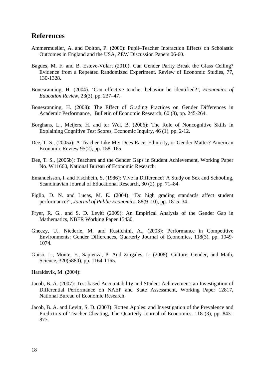# **References**

- Ammermueller, A. and Dolton, P. (2006): Pupil–Teacher Interaction Effects on Scholastic Outcomes in England and the USA, ZEW Discussion Papers 06-60.
- Bagues, M. F. and B. Esteve-Volart (2010). Can Gender Parity Break the Glass Ceiling? Evidence from a Repeated Randomized Experiment. Review of Economic Studies, 77, 130-1328.
- Bonesrønning, H. (2004). 'Can effective teacher behavior be identified?', *Economics of Education Review*, 23(3), pp. 237–47.
- Bonesrønning, H. (2008): The Effect of Grading Practices on Gender Differences in Academic Performance, Bulletin of Economic Research, 60 (3), pp. 245-264.
- Borghans, L., Meijers, H. and ter Wel, B. (2006): The Role of Noncognitive Skills in Explaining Cognitive Test Scores, Economic Inquiry, 46 (1), pp. 2-12.
- Dee, T. S., (2005a): A Teacher Like Me: Does Race, Ethnicity, or Gender Matter? American Economic Review 95(2), pp. 158–165.
- Dee, T. S., (2005b): Teachers and the Gender Gaps in Student Achievement, Working Paper No. W11660, National Bureau of Economic Research.
- Emanuelsson, I. and Fischbein, S. (1986): Vive la Difference? A Study on Sex and Schooling, Scandinavian Journal of Educational Research, 30 (2), pp. 71–84.
- Figlio, D. N. and Lucas, M. E. (2004). 'Do high grading standards affect student performance?', *Journal of Public Economics*, 88(9–10), pp. 1815–34.
- Fryer, R. G., and S. D. Levitt (2009): An Empirical Analysis of the Gender Gap in Mathematics, NBER Working Paper 15430.
- Gneezy, U., Niederle, M. and Rustichini, A., (2003): Performance in Competitive Environments: Gender Differences, Quarterly Journal of Economics, 118(3), pp. 1049- 1074.
- Guiso, L., Monte, F., Sapienza, P. And Zingales, L. (2008): Culture, Gender, and Math, Science, 320(5880), pp. 1164-1165.

Haraldsvik, M. (2004):

- Jacob, B. A. (2007): Test-based Accountability and Student Achievement: an Investigation of Differential Performance on NAEP and State Assessment, Working Paper 12817, National Bureau of Economic Research.
- Jacob, B. A. and Levitt, S. D. (2003): Rotten Apples: and Investigation of the Prevalence and Predictors of Teacher Cheating, The Quarterly Journal of Economics, 118 (3), pp. 843– 877.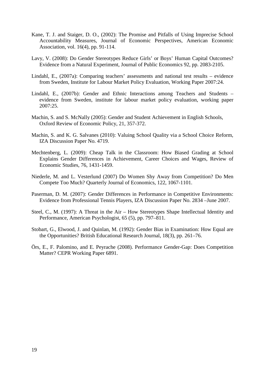- Kane, T. J. and Staiger, D. O., (2002): The Promise and Pitfalls of Using Imprecise School Accountability Measures, Journal of Economic Perspectives, American Economic Association, vol. 16(4), pp. 91-114.
- Lavy, V. (2008): Do Gender Stereotypes Reduce Girls' or Boys' Human Capital Outcomes? Evidence from a Natural Experiment, Journal of Public Economics 92, pp. 2083-2105.
- Lindahl, E., (2007a): Comparing teachers' assessments and national test results evidence from Sweden, Institute for Labour Market Policy Evaluation, Working Paper 2007:24.
- Lindahl, E., (2007b): Gender and Ethnic Interactions among Teachers and Students evidence from Sweden, institute for labour market policy evaluation, working paper 2007:25.
- Machin, S. and S. McNally (2005): Gender and Student Achievement in English Schools, Oxford Review of Economic Policy, 21, 357-372.
- Machin, S. and K. G. Salvanes (2010): Valuing School Quality via a School Choice Reform, IZA Discussion Paper No. 4719.
- Mechtenberg, L. (2009): Cheap Talk in the Classroom: How Biased Grading at School Explains Gender Differences in Achievement, Career Choices and Wages, Review of Economic Studies, 76, 1431-1459.
- Niederle, M. and L. Vesterlund (2007) Do Women Shy Away from Competition? Do Men Compete Too Much? Quarterly Journal of Economics, 122, 1067-1101.
- Paserman, D. M. (2007): Gender Differences in Performance in Competitive Environments: Evidence from Professional Tennis Players, IZA Discussion Paper No. 2834 –June 2007.
- Steel, C., M. (1997): A Threat in the Air How Stereotypes Shape Intellectual Identity and Performance, American Psychologist, 65 (5), pp. 797–811.
- Stobart, G., Elwood, J. and Quinlan, M. (1992): Gender Bias in Examination: How Equal are the Opportunities? British Educational Research Journal, 18(3), pp. 261–76.
- Örs, E., F. Palomino, and E. Peyrache (2008). Performance Gender-Gap: Does Competition Matter? CEPR Working Paper 6891.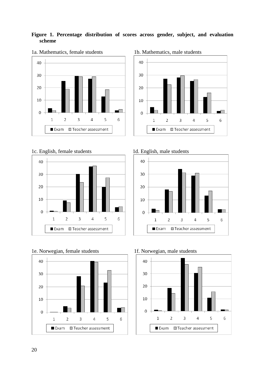### **Figure 1. Percentage distribution of scores across gender, subject, and evaluation scheme**



### 1a. Mathematics, female students 1b. Mathematics, male students













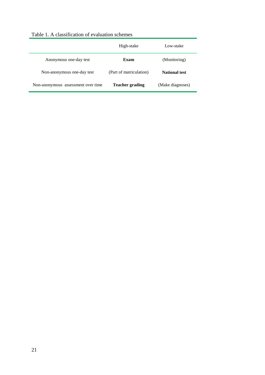|                                    | High-stake              | Low-stake            |
|------------------------------------|-------------------------|----------------------|
| Anonymous one-day test             | Exam                    | (Monitoring)         |
| Non-anonymous one-day test         | (Part of matriculation) | <b>National test</b> |
| Non-anonymous assessment over time | <b>Teacher grading</b>  | (Make diagnoses)     |

## Table 1. A classification of evaluation schemes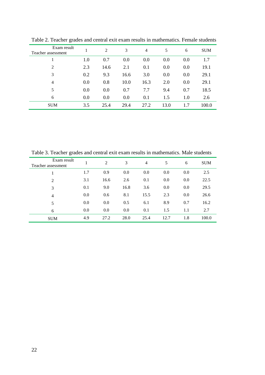| Exam result<br>Teacher assessment |     | 2    | 3    | 4    | 5    | 6   | <b>SUM</b> |
|-----------------------------------|-----|------|------|------|------|-----|------------|
|                                   | 1.0 | 0.7  | 0.0  | 0.0  | 0.0  | 0.0 | 1.7        |
| 2                                 | 2.3 | 14.6 | 2.1  | 0.1  | 0.0  | 0.0 | 19.1       |
| 3                                 | 0.2 | 9.3  | 16.6 | 3.0  | 0.0  | 0.0 | 29.1       |
| $\overline{4}$                    | 0.0 | 0.8  | 10.0 | 16.3 | 2.0  | 0.0 | 29.1       |
| 5                                 | 0.0 | 0.0  | 0.7  | 7.7  | 9.4  | 0.7 | 18.5       |
| 6                                 | 0.0 | 0.0  | 0.0  | 0.1  | 1.5  | 1.0 | 2.6        |
| <b>SUM</b>                        | 3.5 | 25.4 | 29.4 | 27.2 | 13.0 | 1.7 | 100.0      |
|                                   |     |      |      |      |      |     |            |

Table 2. Teacher grades and central exit exam results in mathematics. Female students

Table 3. Teacher grades and central exit exam results in mathematics. Male students

| Exam result<br>Teacher assessment |     | 2    | 3    | 4    | 5    | 6   | <b>SUM</b> |
|-----------------------------------|-----|------|------|------|------|-----|------------|
|                                   | 1.7 | 0.9  | 0.0  | 0.0  | 0.0  | 0.0 | 2.5        |
| 2                                 | 3.1 | 16.6 | 2.6  | 0.1  | 0.0  | 0.0 | 22.5       |
| 3                                 | 0.1 | 9.0  | 16.8 | 3.6  | 0.0  | 0.0 | 29.5       |
| 4                                 | 0.0 | 0.6  | 8.1  | 15.5 | 2.3  | 0.0 | 26.6       |
| 5                                 | 0.0 | 0.0  | 0.5  | 6.1  | 8.9  | 0.7 | 16.2       |
| 6                                 | 0.0 | 0.0  | 0.0  | 0.1  | 1.5  | 1.1 | 2.7        |
| <b>SUM</b>                        | 4.9 | 27.2 | 28.0 | 25.4 | 12.7 | 1.8 | 100.0      |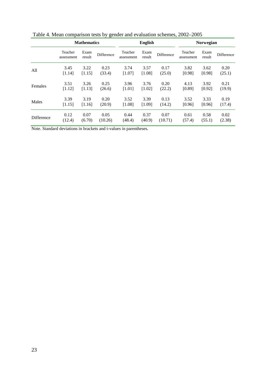|                   | <b>Mathematics</b>    |                |            |                       | <b>English</b> |            | <b>Norwegian</b>      |                |            |  |
|-------------------|-----------------------|----------------|------------|-----------------------|----------------|------------|-----------------------|----------------|------------|--|
|                   | Teacher<br>assessment | Exam<br>result | Difference | Teacher<br>assessment | Exam<br>result | Difference | Teacher<br>assessment | Exam<br>result | Difference |  |
| All               | 3.45                  | 3.22           | 0.23       | 3.74                  | 3.57           | 0.17       | 3.82                  | 3.62           | 0.20       |  |
|                   | [1.14]                | [1.15]         | (33.4)     | [1.07]                | [1.08]         | (25.0)     | [0.98]                | [0.98]         | (25.1)     |  |
| Females           | 3.51                  | 3.26           | 0.25       | 3.96                  | 3.76           | 0.20       | 4.13                  | 3.92           | 0.21       |  |
|                   | [1.12]                | [1.13]         | (26.6)     | [1.01]                | [1.02]         | (22.2)     | [0.89]                | [0.92]         | (19.9)     |  |
| Males             | 3.39                  | 3.19           | 0.20       | 3.52                  | 3.39           | 0.13       | 3.52                  | 3.33           | 0.19       |  |
|                   | [1.15]                | [1.16]         | (20.9)     | [1.08]                | [1.09]         | (14.2)     | [0.96]                | [0.96]         | (17.4)     |  |
| <b>Difference</b> | 0.12                  | 0.07           | 0.05       | 0.44                  | 0.37           | 0.07       | 0.61                  | 0.58           | 0.02       |  |
|                   | (12.4)                | (6.70)         | (10.26)    | (48.4)                | (40.9)         | (10.71)    | (57.4)                | (55.1)         | (2.38)     |  |

Table 4. Mean comparison tests by gender and evaluation schemes, 2002–2005

Note. Standard deviations in brackets and t-values in parentheses.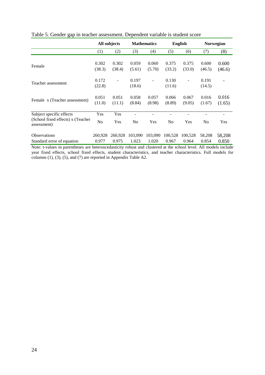|                                                  | All subjects    |                 | <b>Mathematics</b> |                 | <b>English</b>  |                 | Norwegian       |                 |
|--------------------------------------------------|-----------------|-----------------|--------------------|-----------------|-----------------|-----------------|-----------------|-----------------|
|                                                  | (1)             | (2)             | (3)                | (4)             | (5)             | (6)             | (7)             | (8)             |
|                                                  |                 |                 |                    |                 |                 |                 |                 |                 |
| Female                                           | 0.302<br>(38.3) | 0.302<br>(38.4) | 0.059<br>(5.61)    | 0.060<br>(5.70) | 0.375<br>(33.2) | 0.375<br>(33.0) | 0.600<br>(46.5) | 0.600<br>(46.6) |
| Teacher assessment                               | 0.172<br>(22.8) |                 | 0.197<br>(18.6)    |                 | 0.130           | $\overline{a}$  | 0.191           |                 |
|                                                  |                 |                 |                    |                 | (11.6)          |                 | (14.5)          |                 |
| Female x (Teacher assessment)                    | 0.051<br>(11.0) | 0.051<br>(11.1) | 0.058<br>(8.84)    | 0.057<br>(8.98) | 0.066<br>(8.89) | 0.067<br>(9.05) | 0.016<br>(1.67) | 0.016<br>(1.65) |
| Subject specific effects                         | Yes             | Yes             |                    |                 |                 |                 |                 |                 |
| (School fixed effects) x (Teacher<br>assessment) | N <sub>o</sub>  | Yes             | N <sub>0</sub>     | Yes             | N <sub>o</sub>  | Yes             | N <sub>0</sub>  | Yes             |
| <b>Observations</b>                              | 260,928         | 260,928         | 103,090            | 103,090         | 100,528         | 100,528         | 58,208          | 58,208          |
| Standard error of equation                       | 0.977           | 0.975           | 1.023              | 1.020           | 0.967           | 0.964           | 0.854           | 0.850           |

Table 5. Gender gap in teacher assessment. Dependent variable is student score

Note: t-values in parentheses are heteroscedasticity robust and clustered at the school level. All models include year fixed effects, school fixed effects, student characteristics, and teacher characteristics. Full models for columns (1), (3), (5), and (7) are reported in Appendix Table A2.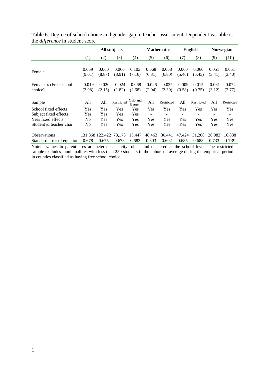|                                  |                    | All subjects       |                    |                    |                    | <b>Mathematics</b> | <b>English</b>     |                 | <b>Norwegian</b>         |                    |
|----------------------------------|--------------------|--------------------|--------------------|--------------------|--------------------|--------------------|--------------------|-----------------|--------------------------|--------------------|
|                                  | (1)                | (2)                | (3)                | (4)                | (5)                | (6)                | (7)                | (8)             | (9)                      | (10)               |
| Female                           | 0.059<br>(9.01)    | 0.060<br>(8.87)    | 0.060<br>(8.91)    | 0.103<br>(7.16)    | 0.068<br>(6.81)    | 0.068<br>(6.80)    | 0.060<br>(5.46)    | 0.060<br>(5.45) | 0.051<br>(3.41)          | 0.051<br>(3.40)    |
| Female x (Free school<br>choice) | $-0.019$<br>(2.08) | $-0.020$<br>(2.15) | $-0.024$<br>(1.82) | $-0.068$<br>(2.68) | $-0.026$<br>(2.04) | $-0.037$<br>(2.30) | $-0.009$<br>(0.58) | 0.015<br>(0.75) | $-0.061$<br>(3.12)       | $-0.074$<br>(2.77) |
| Sample                           | All                | All                | Restricted         | Oslo and<br>Bergen | All                | Restricted         | All                | Restricted      | All                      | Restricted         |
| School fixed effects             | Yes                | Yes                | Yes                | Yes                | Yes                | Yes                | Yes                | Yes             | Yes                      | Yes                |
| Subject fixed effects            | Yes                | Yes                | Yes                | Yes                | ٠                  | $\qquad \qquad -$  | -                  | -               | $\overline{\phantom{a}}$ |                    |
| Year fixed effects               | N <sub>0</sub>     | Yes                | Yes                | Yes                | Yes                | Yes                | Yes                | Yes             | Yes                      | Yes                |
| Student & teacher char.          | N <sub>0</sub>     | Yes                | Yes                | Yes                | Yes                | Yes                | Yes                | Yes             | Yes                      | Yes                |
| <b>Observations</b>              |                    | 131,868 122,422    | 78,173             | 13,447             | 48,463             | 30,441             | 47,424             | 31,208          | 26,983                   | 16,838             |
| Standard error of equation       | 0.678              | 0.675              | 0.678              | 0.683              | 0.603              | 0.602              | 0.685              | 0.688           | 0.733                    | 0.739              |

Table 6. Degree of school choice and gender gap in teacher assessment. Dependent variable is the *difference* in student score

Note: t-values in parentheses are heteroscedasticity robust and clustered at the school level. The restricted sample excludes municipalities with less than 250 students in the cohort on average during the empirical period in counties classified as having free school choice.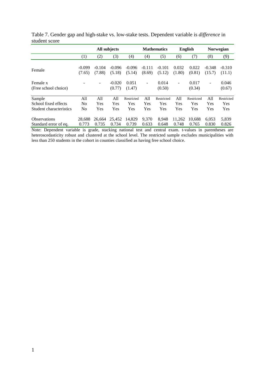|                                  |          | All subjects |                    |                 |          | <b>Mathematics</b> | <b>English</b>           |                 | <b>Norwegian</b>  |                 |
|----------------------------------|----------|--------------|--------------------|-----------------|----------|--------------------|--------------------------|-----------------|-------------------|-----------------|
|                                  | (1)      | (2)          | (3)                | (4)             | (4)      | (5)                | (6)                      | (7)             | (8)               | (9)             |
| Female                           | $-0.099$ | $-0.104$     | $-0.096$           | $-0.096$        | $-0.111$ | $-0.101$           | 0.032                    | 0.022           | $-0.348$          | $-0.310$        |
|                                  | (7.65)   | (7.88)       | (5.18)             | (5.14)          | (8.69)   | (5.12)             | (1.80)                   | (0.81)          | (15.7)            | (11.1)          |
| Female x<br>(Free school choice) |          | ٠            | $-0.020$<br>(0.77) | 0.051<br>(1.47) | ۰        | 0.014<br>(0.50)    | $\overline{\phantom{a}}$ | 0.017<br>(0.34) | $\qquad \qquad -$ | 0.046<br>(0.67) |
| Sample                           | All      | All          | All                | Restricted      | All      | Restricted         | All                      | Restricted      | All               | Restricted      |
| School fixed effects             | No       | Yes          | Yes                | Yes             | Yes      | Yes                | Yes                      | Yes             | Yes               | Yes             |
| Student characteristics          | No       | Yes          | Yes                | Yes             | Yes      | Yes                | Yes                      | Yes             | Yes               | Yes             |
| <b>Observations</b>              | 28.688   | 26.664       | 25,452             | 14.829          | 9.370    | 8.948              | 11.262                   | 10.688          | 6.053             | 5,839           |
| Standard error of eq.            | 0.773    | 0.735        | 0.734              | 0.739           | 0.633    | 0.648              | 0.748                    | 0.765           | 0.830             | 0.826           |

Table 7. Gender gap and high-stake vs. low-stake tests. Dependent variable is *difference* in student score

Note: Dependent variable is grade, stacking national test and central exam. t-values in parentheses are heteroscedasticity robust and clustered at the school level. The restricted sample excludes municipalities with less than 250 students in the cohort in counties classified as having free school choice.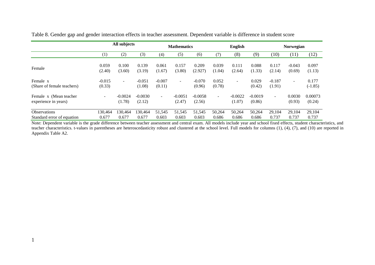|                                                 |                          | All subjects        |                     |                    | <b>Mathematics</b>  |                     |                 | English                  |                     |                    | Norwegian                |                    |  |
|-------------------------------------------------|--------------------------|---------------------|---------------------|--------------------|---------------------|---------------------|-----------------|--------------------------|---------------------|--------------------|--------------------------|--------------------|--|
|                                                 | $\left(1\right)$         | (2)                 | (3)                 | (4)                | (5)                 | (6)                 | (7)             | (8)                      | (9)                 | (10)               | (11)                     | (12)               |  |
| Female                                          | 0.059<br>(2.40)          | 0.100<br>(3.60)     | 0.139<br>(3.19)     | 0.061<br>(1.67)    | 0.157<br>(3.80)     | 0.209<br>(2.927)    | 0.039<br>(1.04) | 0.111<br>(2.64)          | 0.088<br>(1.33)     | 0.117<br>(2.14)    | $-0.043$<br>(0.69)       | 0.097<br>(1.13)    |  |
| Female x<br>(Share of female teachers)          | $-0.015$<br>(0.33)       | $\sim$              | $-0.051$<br>(1.08)  | $-0.007$<br>(0.11) | $\overline{a}$      | $-0.070$<br>(0.96)  | 0.052<br>(0.78) | $\overline{\phantom{0}}$ | 0.029<br>(0.42)     | $-0.187$<br>(1.91) | $\overline{\phantom{0}}$ | 0.177<br>$(-1.85)$ |  |
| Female x (Mean teacher)<br>experience in years) | $\overline{\phantom{0}}$ | $-0.0024$<br>(1.78) | $-0.0030$<br>(2.12) | $\sim$             | $-0.0051$<br>(2.47) | $-0.0058$<br>(2.56) | Ξ.              | $-0.0022$<br>(1.07)      | $-0.0019$<br>(0.86) | $\sim$             | 0.0030<br>(0.93)         | 0.00073<br>(0.24)  |  |
| Observations<br>Standard error of equation      | 130.464<br>0.677         | 130.464<br>0.677    | 130,464<br>0.677    | 51,545<br>0.603    | 51,545<br>0.603     | 51,545<br>0.603     | 50,264<br>0.686 | 50,264<br>0.686          | 50,264<br>0.686     | 29,104<br>0.737    | 29,104<br>0.737          | 29,104<br>0.737    |  |

Table 8. Gender gap and gender interaction effects in teacher assessment. Dependent variable is difference in student score

Note: Dependent variable is the grade difference between teacher assessment and central exam. All models include year and school fixed effects, student characteristics, and teacher characteristics. t-values in parentheses are heteroscedasticity robust and clustered at the school level. Full models for columns (1), (4), (7), and (10) are reported in Appendix Table A2.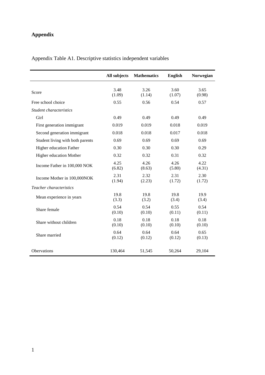# **Appendix**

|                                  | All subjects   | <b>Mathematics</b> | <b>English</b> | Norwegian      |
|----------------------------------|----------------|--------------------|----------------|----------------|
| Score                            | 3.48<br>(1.09) | 3.26<br>(1.14)     | 3.60<br>(1.07) | 3.65<br>(0.98) |
| Free school choice               | 0.55           | 0.56               | 0.54           | 0.57           |
| Student characteristics          |                |                    |                |                |
| Girl                             | 0.49           | 0.49               | 0.49           | 0.49           |
| First generation immigrant       | 0.019          | 0.019              | 0.018          | 0.019          |
| Second generation immigrant      | 0.018          | 0.018              | 0.017          | 0.018          |
| Student living with both parents | 0.69           | 0.69               | 0.69           | 0.69           |
| Higher education Father          | 0.30           | 0.30               | 0.30           | 0.29           |
| Higher education Mother          | 0.32           | 0.32               | 0.31           | 0.32           |
| Income Father in 100,000 NOK     | 4.25<br>(6.82) | 4.26<br>(8.63)     | 4.26<br>(5.80) | 4.22<br>(4.31) |
| Income Mother in 100,000NOK      | 2.31<br>(1.94) | 2.32<br>(2.23)     | 2.31<br>(1.72) | 2.30<br>(1.72) |
| Teacher characteristics          |                |                    |                |                |
| Mean experience in years         | 19.8<br>(3.3)  | 19.8<br>(3.2)      | 19.8<br>(3.4)  | 19.9<br>(3.4)  |
| Share female                     | 0.54<br>(0.10) | 0.54<br>(0.10)     | 0.55<br>(0.11) | 0.54<br>(0.11) |
| Share without children           | 0.18<br>(0.10) | 0.18<br>(0.10)     | 0.18<br>(0.10) | 0.18<br>(0.10) |
| Share married                    | 0.64<br>(0.12) | 0.64<br>(0.12)     | 0.64<br>(0.12) | 0.65<br>(0.13) |
| Obervations                      | 130,464        | 51,545             | 50,264         | 29,104         |

Appendix Table A1. Descriptive statistics independent variables